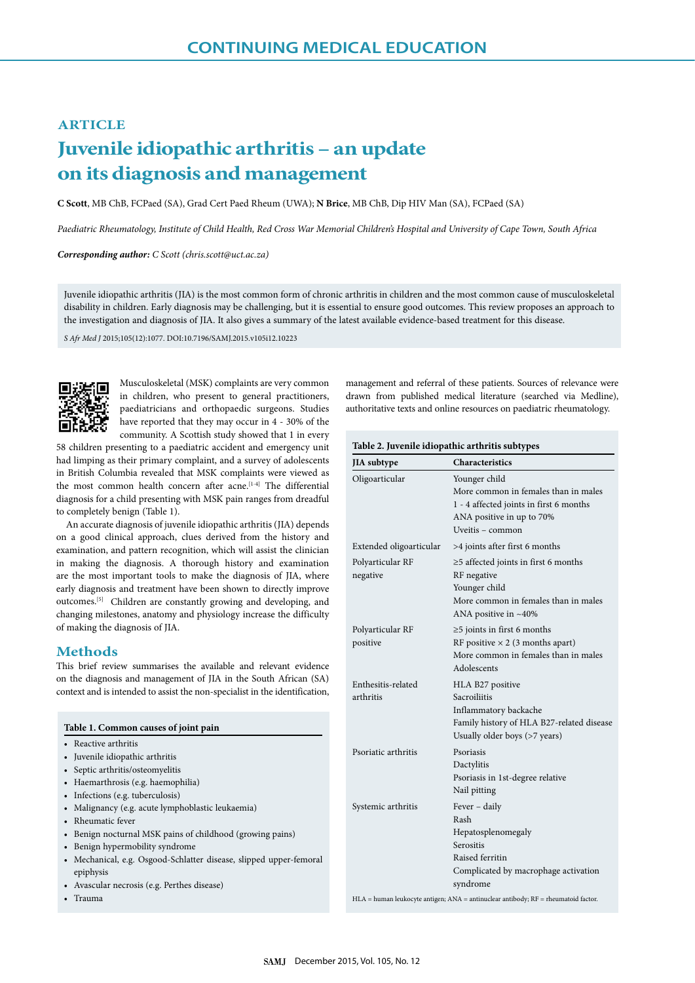# **ARTICLE**

# **Juvenile idiopathic arthritis – an update on its diagnosis and management**

**C Scott**, MB ChB, FCPaed (SA), Grad Cert Paed Rheum (UWA); **N Brice**, MB ChB, Dip HIV Man (SA), FCPaed (SA)

*Paediatric Rheumatology, Institute of Child Health, Red Cross War Memorial Children's Hospital and University of Cape Town, South Africa* 

*Corresponding author: C Scott (chris.scott@uct.ac.za)*

Juvenile idiopathic arthritis (JIA) is the most common form of chronic arthritis in children and the most common cause of musculoskeletal disability in children. Early diagnosis may be challenging, but it is essential to ensure good outcomes. This review proposes an approach to the investigation and diagnosis of JIA. It also gives a summary of the latest available evidence-based treatment for this disease.

*S Afr Med J* 2015;105(12):1077. DOI:10.7196/SAMJ.2015.v105i12.10223



Musculoskeletal (MSK) complaints are very common in children, who present to general practitioners, paediatricians and orthopaedic surgeons. Studies have reported that they may occur in 4 - 30% of the community. A Scottish study showed that 1 in every

58 children presenting to a paediatric accident and emergency unit had limping as their primary complaint, and a survey of adolescents in British Columbia revealed that MSK complaints were viewed as the most common health concern after acne.<sup>[1-4]</sup> The differential diagnosis for a child presenting with MSK pain ranges from dreadful to completely benign (Table 1).

An accurate diagnosis of juvenile idiopathic arthritis (JIA) depends on a good clinical approach, clues derived from the history and examination, and pattern recognition, which will assist the clinician in making the diagnosis. A thorough history and examination are the most important tools to make the diagnosis of JIA, where early diagnosis and treatment have been shown to directly improve outcomes.[5] Children are constantly growing and developing, and changing milestones, anatomy and physiology increase the difficulty of making the diagnosis of JIA.

# **Methods**

This brief review summarises the available and relevant evidence on the diagnosis and management of JIA in the South African (SA) context and is intended to assist the non-specialist in the identification,

| Table 1. Common causes of joint pain                               |
|--------------------------------------------------------------------|
| • Reactive arthritis                                               |
| • Juvenile idiopathic arthritis                                    |
| • Septic arthritis/osteomyelitis                                   |
| • Haemarthrosis (e.g. haemophilia)                                 |
| • Infections (e.g. tuberculosis)                                   |
| • Malignancy (e.g. acute lymphoblastic leukaemia)                  |
| • Rheumatic fever                                                  |
| • Benign nocturnal MSK pains of childhood (growing pains)          |
| • Benign hypermobility syndrome                                    |
| • Mechanical, e.g. Osgood-Schlatter disease, slipped upper-femoral |
| epiphysis                                                          |
| • Avascular necrosis (e.g. Perthes disease)                        |

• Trauma

management and referral of these patients. Sources of relevance were drawn from published medical literature (searched via Medline), authoritative texts and online resources on paediatric rheumatology.

#### **Table 2. Juvenile idiopathic arthritis subtypes**

| <b>JIA</b> subtype              | <b>Characteristics</b>                                                                                                                                                |
|---------------------------------|-----------------------------------------------------------------------------------------------------------------------------------------------------------------------|
| Oligoarticular                  | Younger child<br>More common in females than in males<br>1 - 4 affected joints in first 6 months<br>ANA positive in up to 70%<br>Uveitis - common                     |
| Extended oligoarticular         | >4 joints after first 6 months                                                                                                                                        |
| Polyarticular RF<br>negative    | $\geq$ 5 affected joints in first 6 months<br>RF negative<br>Younger child<br>More common in females than in males<br>ANA positive in $~10\%$                         |
| Polyarticular RF<br>positive    | $\geq$ 5 joints in first 6 months<br>RF positive $\times$ 2 (3 months apart)<br>More common in females than in males<br>Adolescents                                   |
| Enthesitis-related<br>arthritis | HLA B27 positive<br>Sacroiliitis<br>Inflammatory backache<br>Family history of HLA B27-related disease<br>Usually older boys (>7 years)                               |
| Psoriatic arthritis             | Psoriasis<br>Dactylitis<br>Psoriasis in 1st-degree relative<br>Nail pitting                                                                                           |
| Systemic arthritis              | Fever – daily<br>Rash<br>Hepatosplenomegaly<br>Serositis<br>Raised ferritin<br>Complicated by macrophage activation<br>syndrome<br>$-1$ $-1$ $-1$ $-1$ $-1$ $-1$ $-1$ |

HLA = human leukocyte antigen; ANA = antinuclear antibody; RF = rheumatoid factor.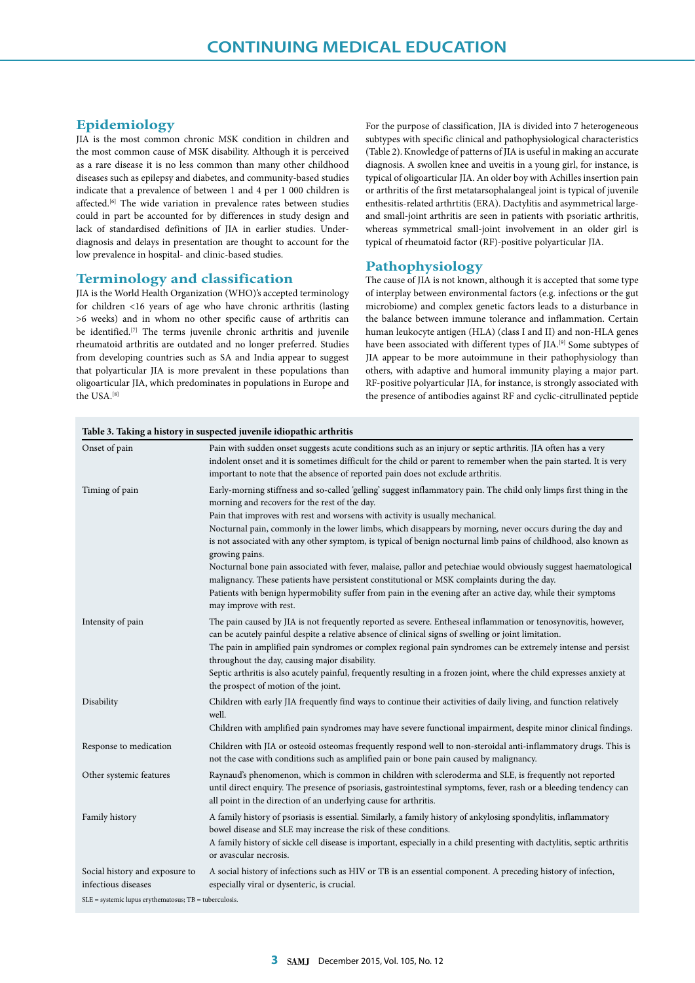# **Epidemiology**

JIA is the most common chronic MSK condition in children and the most common cause of MSK disability. Although it is perceived as a rare disease it is no less common than many other childhood diseases such as epilepsy and diabetes, and community-based studies indicate that a prevalence of between 1 and 4 per 1 000 children is affected.<sup>[6]</sup> The wide variation in prevalence rates between studies could in part be accounted for by differences in study design and lack of standardised definitions of JIA in earlier studies. Underdiagnosis and delays in presentation are thought to account for the low prevalence in hospital- and clinic-based studies.

# **Terminology and classification**

JIA is the World Health Organization (WHO)'s accepted terminology for children <16 years of age who have chronic arthritis (lasting >6 weeks) and in whom no other specific cause of arthritis can be identified.<sup>[7]</sup> The terms juvenile chronic arthritis and juvenile rheumatoid arthritis are outdated and no longer preferred. Studies from developing countries such as SA and India appear to suggest that polyarticular JIA is more prevalent in these populations than oligoarticular JIA, which predominates in populations in Europe and the USA.<sup>[8]</sup>

For the purpose of classification, JIA is divided into 7 heterogeneous subtypes with specific clinical and pathophysiological characteristics (Table 2). Knowledge of patterns of JIA is useful in making an accurate diagnosis. A swollen knee and uveitis in a young girl, for instance, is typical of oligoarticular JIA. An older boy with Achilles insertion pain or arthritis of the first metatarsophalangeal joint is typical of juvenile enthesitis-related arthrtitis (ERA). Dactylitis and asymmetrical largeand small-joint arthritis are seen in patients with psoriatic arthritis, whereas symmetrical small-joint involvement in an older girl is typical of rheumatoid factor (RF)-positive polyarticular JIA.

# **Pathophysiology**

The cause of JIA is not known, although it is accepted that some type of interplay between environmental factors (e.g. infections or the gut microbiome) and complex genetic factors leads to a disturbance in the balance between immune tolerance and inflammation. Certain human leukocyte antigen (HLA) (class I and II) and non-HLA genes have been associated with different types of JIA.<sup>[9]</sup> Some subtypes of JIA appear to be more autoimmune in their pathophysiology than others, with adaptive and humoral immunity playing a major part. RF-positive polyarticular JIA, for instance, is strongly associated with the presence of antibodies against RF and cyclic-citrullinated peptide

## **Table 3. Taking a history in suspected juvenile idiopathic arthritis**

| Onset of pain                                              | Pain with sudden onset suggests acute conditions such as an injury or septic arthritis. JIA often has a very<br>indolent onset and it is sometimes difficult for the child or parent to remember when the pain started. It is very                                                                                                        |
|------------------------------------------------------------|-------------------------------------------------------------------------------------------------------------------------------------------------------------------------------------------------------------------------------------------------------------------------------------------------------------------------------------------|
|                                                            | important to note that the absence of reported pain does not exclude arthritis.                                                                                                                                                                                                                                                           |
| Timing of pain                                             | Early-morning stiffness and so-called 'gelling' suggest inflammatory pain. The child only limps first thing in the<br>morning and recovers for the rest of the day.<br>Pain that improves with rest and worsens with activity is usually mechanical.                                                                                      |
|                                                            | Nocturnal pain, commonly in the lower limbs, which disappears by morning, never occurs during the day and<br>is not associated with any other symptom, is typical of benign nocturnal limb pains of childhood, also known as<br>growing pains.                                                                                            |
|                                                            | Nocturnal bone pain associated with fever, malaise, pallor and petechiae would obviously suggest haematological<br>malignancy. These patients have persistent constitutional or MSK complaints during the day.<br>Patients with benign hypermobility suffer from pain in the evening after an active day, while their symptoms            |
|                                                            | may improve with rest.                                                                                                                                                                                                                                                                                                                    |
| Intensity of pain                                          | The pain caused by JIA is not frequently reported as severe. Entheseal inflammation or tenosynovitis, however,<br>can be acutely painful despite a relative absence of clinical signs of swelling or joint limitation.                                                                                                                    |
|                                                            | The pain in amplified pain syndromes or complex regional pain syndromes can be extremely intense and persist<br>throughout the day, causing major disability.                                                                                                                                                                             |
|                                                            | Septic arthritis is also acutely painful, frequently resulting in a frozen joint, where the child expresses anxiety at<br>the prospect of motion of the joint.                                                                                                                                                                            |
| Disability                                                 | Children with early JIA frequently find ways to continue their activities of daily living, and function relatively<br>well.                                                                                                                                                                                                               |
|                                                            | Children with amplified pain syndromes may have severe functional impairment, despite minor clinical findings.                                                                                                                                                                                                                            |
| Response to medication                                     | Children with JIA or osteoid osteomas frequently respond well to non-steroidal anti-inflammatory drugs. This is<br>not the case with conditions such as amplified pain or bone pain caused by malignancy.                                                                                                                                 |
| Other systemic features                                    | Raynaud's phenomenon, which is common in children with scleroderma and SLE, is frequently not reported<br>until direct enquiry. The presence of psoriasis, gastrointestinal symptoms, fever, rash or a bleeding tendency can<br>all point in the direction of an underlying cause for arthritis.                                          |
| Family history                                             | A family history of psoriasis is essential. Similarly, a family history of ankylosing spondylitis, inflammatory<br>bowel disease and SLE may increase the risk of these conditions.<br>A family history of sickle cell disease is important, especially in a child presenting with dactylitis, septic arthritis<br>or avascular necrosis. |
| Social history and exposure to                             | A social history of infections such as HIV or TB is an essential component. A preceding history of infection,                                                                                                                                                                                                                             |
| infectious diseases                                        | especially viral or dysenteric, is crucial.                                                                                                                                                                                                                                                                                               |
| $SLE$ = systemic lupus erythematosus; $TB$ = tuberculosis. |                                                                                                                                                                                                                                                                                                                                           |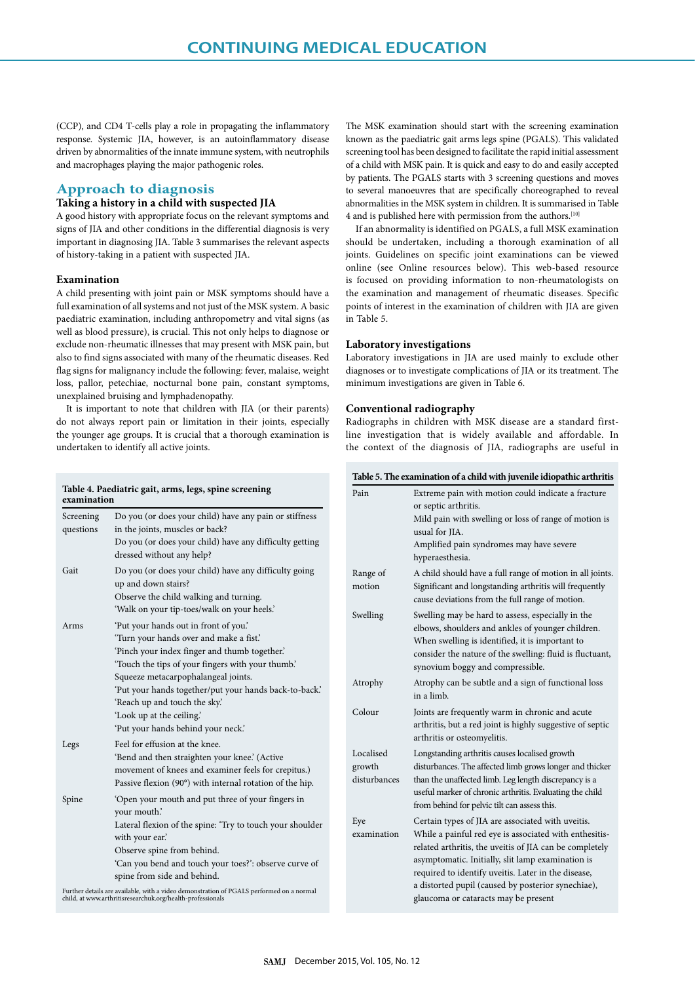(CCP), and CD4 T-cells play a role in propagating the inflammatory response. Systemic JIA, however, is an autoinflammatory disease driven by abnormalities of the innate immune system, with neutrophils and macrophages playing the major pathogenic roles.

# **Approach to diagnosis**

# **Taking a history in a child with suspected JIA**

A good history with appropriate focus on the relevant symptoms and signs of JIA and other conditions in the differential diagnosis is very important in diagnosing JIA. Table 3 summarises the relevant aspects of history-taking in a patient with suspected JIA.

## **Examination**

A child presenting with joint pain or MSK symptoms should have a full examination of all systems and not just of the MSK system. A basic paediatric examination, including anthropometry and vital signs (as well as blood pressure), is crucial. This not only helps to diagnose or exclude non-rheumatic illnesses that may present with MSK pain, but also to find signs associated with many of the rheumatic diseases. Red flag signs for malignancy include the following: fever, malaise, weight loss, pallor, petechiae, nocturnal bone pain, constant symptoms, unexplained bruising and lymphadenopathy.

It is important to note that children with JIA (or their parents) do not always report pain or limitation in their joints, especially the younger age groups. It is crucial that a thorough examination is undertaken to identify all active joints.

#### **Table 4. Paediatric gait, arms, legs, spine screening examination**

| Screening<br>questions | Do you (or does your child) have any pain or stiffness<br>in the joints, muscles or back?<br>Do you (or does your child) have any difficulty getting<br>dressed without any help?                                                                                                                                                                                                          |
|------------------------|--------------------------------------------------------------------------------------------------------------------------------------------------------------------------------------------------------------------------------------------------------------------------------------------------------------------------------------------------------------------------------------------|
| Gait                   | Do you (or does your child) have any difficulty going<br>up and down stairs?<br>Observe the child walking and turning.<br>'Walk on your tip-toes/walk on your heels.'                                                                                                                                                                                                                      |
| Arms                   | 'Put your hands out in front of you.'<br>'Turn your hands over and make a fist.'<br>'Pinch your index finger and thumb together.'<br>'Touch the tips of your fingers with your thumb.'<br>Squeeze metacarpophalangeal joints.<br>'Put your hands together/put your hands back-to-back'<br>'Reach up and touch the sky.'<br>'Look up at the ceiling.'<br>'Put your hands behind your neck.' |
| Legs                   | Feel for effusion at the knee.<br>'Bend and then straighten your knee.' (Active<br>movement of knees and examiner feels for crepitus.)<br>Passive flexion (90°) with internal rotation of the hip.                                                                                                                                                                                         |
| Spine                  | 'Open your mouth and put three of your fingers in<br>your mouth.'<br>Lateral flexion of the spine: 'Try to touch your shoulder<br>with your ear.'<br>Observe spine from behind.<br>'Can you bend and touch your toes?': observe curve of<br>spine from side and behind.                                                                                                                    |
|                        | Further details are available, with a video demonstration of PGALS performed on a normal<br>child, at www.arthritisresearchuk.org/health-professionals                                                                                                                                                                                                                                     |

The MSK examination should start with the screening examination known as the paediatric gait arms legs spine (PGALS). This validated screening tool has been designed to facilitate the rapid initial assessment of a child with MSK pain. It is quick and easy to do and easily accepted by patients. The PGALS starts with 3 screening questions and moves to several manoeuvres that are specifically choreographed to reveal abnormalities in the MSK system in children. It is summarised in Table 4 and is published here with permission from the authors.<sup>[10]</sup>

If an abnormality is identified on PGALS, a full MSK examination should be undertaken, including a thorough examination of all joints. Guidelines on specific joint examinations can be viewed online (see Online resources below). This web-based resource is focused on providing information to non-rheumatologists on the examination and management of rheumatic diseases. Specific points of interest in the examination of children with JIA are given in Table 5.

## **Laboratory investigations**

Laboratory investigations in JIA are used mainly to exclude other diagnoses or to investigate complications of JIA or its treatment. The minimum investigations are given in Table 6.

## **Conventional radiography**

Radiographs in children with MSK disease are a standard firstline investigation that is widely available and affordable. In the context of the diagnosis of JIA, radiographs are useful in

| or septic arthritis.<br>usual for JIA.<br>Amplified pain syndromes may have severe<br>hyperaesthesia.<br>Range of<br>motion<br>Significant and longstanding arthritis will frequently<br>cause deviations from the full range of motion.<br>Swelling<br>Swelling may be hard to assess, especially in the<br>elbows, shoulders and ankles of younger children.<br>When swelling is identified, it is important to<br>synovium boggy and compressible.<br>Atrophy<br>Atrophy can be subtle and a sign of functional loss<br>in a limb.<br>Joints are frequently warm in chronic and acute<br>arthritis or osteomyelitis.<br>Localised<br>Longstanding arthritis causes localised growth<br>growth<br>disturbances<br>than the unaffected limb. Leg length discrepancy is a<br>useful marker of chronic arthritis. Evaluating the child<br>from behind for pelvic tilt can assess this.<br>Certain types of JIA are associated with uveitis.<br>Eye<br>examination<br>asymptomatic. Initially, slit lamp examination is<br>required to identify uveitis. Later in the disease,<br>a distorted pupil (caused by posterior synechiae),<br>glaucoma or cataracts may be present | Pain   | Extreme pain with motion could indicate a fracture                                                                |
|----------------------------------------------------------------------------------------------------------------------------------------------------------------------------------------------------------------------------------------------------------------------------------------------------------------------------------------------------------------------------------------------------------------------------------------------------------------------------------------------------------------------------------------------------------------------------------------------------------------------------------------------------------------------------------------------------------------------------------------------------------------------------------------------------------------------------------------------------------------------------------------------------------------------------------------------------------------------------------------------------------------------------------------------------------------------------------------------------------------------------------------------------------------------------|--------|-------------------------------------------------------------------------------------------------------------------|
|                                                                                                                                                                                                                                                                                                                                                                                                                                                                                                                                                                                                                                                                                                                                                                                                                                                                                                                                                                                                                                                                                                                                                                            |        |                                                                                                                   |
|                                                                                                                                                                                                                                                                                                                                                                                                                                                                                                                                                                                                                                                                                                                                                                                                                                                                                                                                                                                                                                                                                                                                                                            |        | Mild pain with swelling or loss of range of motion is                                                             |
|                                                                                                                                                                                                                                                                                                                                                                                                                                                                                                                                                                                                                                                                                                                                                                                                                                                                                                                                                                                                                                                                                                                                                                            |        |                                                                                                                   |
|                                                                                                                                                                                                                                                                                                                                                                                                                                                                                                                                                                                                                                                                                                                                                                                                                                                                                                                                                                                                                                                                                                                                                                            |        | A child should have a full range of motion in all joints.                                                         |
|                                                                                                                                                                                                                                                                                                                                                                                                                                                                                                                                                                                                                                                                                                                                                                                                                                                                                                                                                                                                                                                                                                                                                                            |        | consider the nature of the swelling: fluid is fluctuant,                                                          |
|                                                                                                                                                                                                                                                                                                                                                                                                                                                                                                                                                                                                                                                                                                                                                                                                                                                                                                                                                                                                                                                                                                                                                                            |        |                                                                                                                   |
|                                                                                                                                                                                                                                                                                                                                                                                                                                                                                                                                                                                                                                                                                                                                                                                                                                                                                                                                                                                                                                                                                                                                                                            | Colour | arthritis, but a red joint is highly suggestive of septic                                                         |
|                                                                                                                                                                                                                                                                                                                                                                                                                                                                                                                                                                                                                                                                                                                                                                                                                                                                                                                                                                                                                                                                                                                                                                            |        | disturbances. The affected limb grows longer and thicker                                                          |
|                                                                                                                                                                                                                                                                                                                                                                                                                                                                                                                                                                                                                                                                                                                                                                                                                                                                                                                                                                                                                                                                                                                                                                            |        | While a painful red eye is associated with enthesitis-<br>related arthritis, the uveitis of JIA can be completely |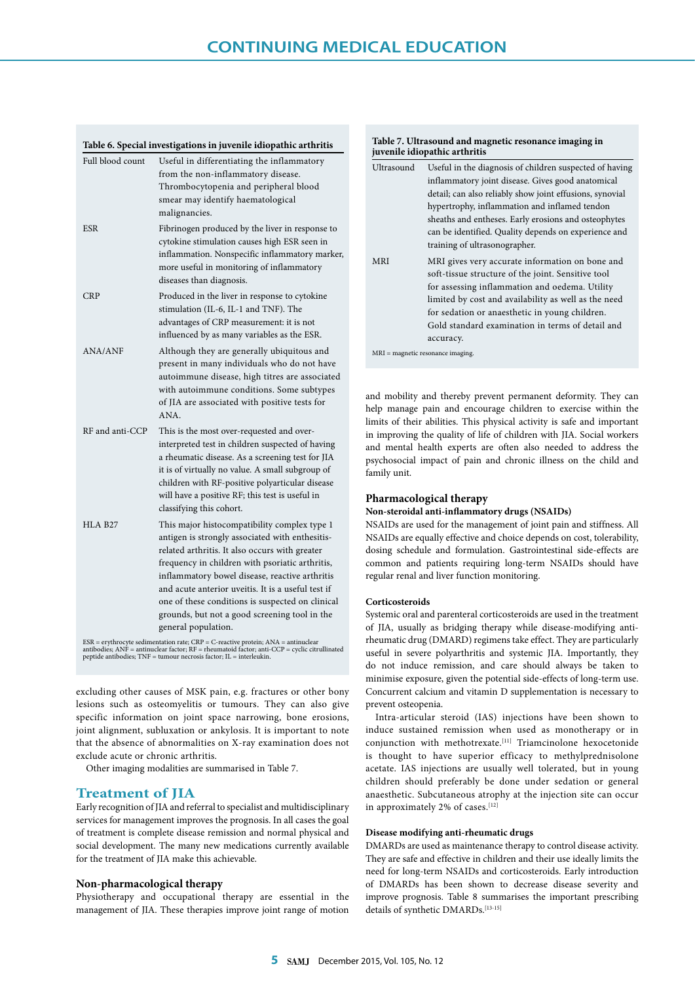#### **Table 6. Special investigations in juvenile idiopathic arthritis**

| Full blood count | Useful in differentiating the inflammatory<br>from the non-inflammatory disease.<br>Thrombocytopenia and peripheral blood<br>smear may identify haematological<br>malignancies.                                                                                                                                                                                                                                                          |
|------------------|------------------------------------------------------------------------------------------------------------------------------------------------------------------------------------------------------------------------------------------------------------------------------------------------------------------------------------------------------------------------------------------------------------------------------------------|
| <b>ESR</b>       | Fibrinogen produced by the liver in response to<br>cytokine stimulation causes high ESR seen in<br>inflammation. Nonspecific inflammatory marker,<br>more useful in monitoring of inflammatory<br>diseases than diagnosis.                                                                                                                                                                                                               |
| <b>CRP</b>       | Produced in the liver in response to cytokine<br>stimulation (IL-6, IL-1 and TNF). The<br>advantages of CRP measurement: it is not<br>influenced by as many variables as the ESR.                                                                                                                                                                                                                                                        |
| <b>ANA/ANF</b>   | Although they are generally ubiquitous and<br>present in many individuals who do not have<br>autoimmune disease, high titres are associated<br>with autoimmune conditions. Some subtypes<br>of JIA are associated with positive tests for<br>ANA.                                                                                                                                                                                        |
| RF and anti-CCP  | This is the most over-requested and over-<br>interpreted test in children suspected of having<br>a rheumatic disease. As a screening test for JIA<br>it is of virtually no value. A small subgroup of<br>children with RF-positive polyarticular disease<br>will have a positive RF; this test is useful in<br>classifying this cohort.                                                                                                  |
| <b>HLA B27</b>   | This major histocompatibility complex type 1<br>antigen is strongly associated with enthesitis-<br>related arthritis. It also occurs with greater<br>frequency in children with psoriatic arthritis,<br>inflammatory bowel disease, reactive arthritis<br>and acute anterior uveitis. It is a useful test if<br>one of these conditions is suspected on clinical<br>grounds, but not a good screening tool in the<br>general population. |

ESR = erythrocyte sedimentation rate; CRP = C-reactive protein; ANA = antinuclear<br>antibodies; ANF = antinuclear factor; RF = rheumatoid factor; anti-CCP = cyclic citrullinated<br>peptide antibodies; TNF = tumour necrosis fact

excluding other causes of MSK pain, e.g. fractures or other bony lesions such as osteomyelitis or tumours. They can also give specific information on joint space narrowing, bone erosions, joint alignment, subluxation or ankylosis. It is important to note that the absence of abnormalities on X-ray examination does not exclude acute or chronic arthritis.

Other imaging modalities are summarised in Table 7.

# **Treatment of JIA**

Early recognition of JIA and referral to specialist and multidisciplinary services for management improves the prognosis. In all cases the goal of treatment is complete disease remission and normal physical and social development. The many new medications currently available for the treatment of JIA make this achievable.

## **Non-pharmacological therapy**

Physiotherapy and occupational therapy are essential in the management of JIA. These therapies improve joint range of motion

#### **Table 7. Ultrasound and magnetic resonance imaging in juvenile idiopathic arthritis**

| Ultrasound | Useful in the diagnosis of children suspected of having  |
|------------|----------------------------------------------------------|
|            | inflammatory joint disease. Gives good anatomical        |
|            | detail; can also reliably show joint effusions, synovial |
|            | hypertrophy, inflammation and inflamed tendon            |
|            | sheaths and entheses. Early erosions and osteophytes     |
|            | can be identified. Quality depends on experience and     |
|            | training of ultrasonographer.                            |
| <b>MRI</b> | MRI gives very accurate information on bone and          |
|            | soft-tissue structure of the joint. Sensitive tool       |
|            | for assessing inflammation and oedema. Utility           |
|            | limited by cost and availability as well as the need     |
|            | for sedation or anaesthetic in young children.           |
|            | Gold standard examination in terms of detail and         |
|            | accuracy.                                                |
|            | $MRI = magnetic$ resonance imaging.                      |

and mobility and thereby prevent permanent deformity. They can help manage pain and encourage children to exercise within the limits of their abilities. This physical activity is safe and important in improving the quality of life of children with JIA. Social workers and mental health experts are often also needed to address the psychosocial impact of pain and chronic illness on the child and family unit.

## **Pharmacological therapy**

## **Non-steroidal anti-inflammatory drugs (NSAIDs)**

NSAIDs are used for the management of joint pain and stiffness. All NSAIDs are equally effective and choice depends on cost, tolerability, dosing schedule and formulation. Gastrointestinal side-effects are common and patients requiring long-term NSAIDs should have regular renal and liver function monitoring.

#### **Corticosteroids**

Systemic oral and parenteral corticosteroids are used in the treatment of JIA, usually as bridging therapy while disease-modifying antirheumatic drug (DMARD) regimens take effect. They are particularly useful in severe polyarthritis and systemic JIA. Importantly, they do not induce remission, and care should always be taken to minimise exposure, given the potential side-effects of long-term use. Concurrent calcium and vitamin D supplementation is necessary to prevent osteopenia.

Intra-articular steroid (IAS) injections have been shown to induce sustained remission when used as monotherapy or in conjunction with methotrexate.[11] Triamcinolone hexocetonide is thought to have superior efficacy to methylprednisolone acetate. IAS injections are usually well tolerated, but in young children should preferably be done under sedation or general anaesthetic. Subcutaneous atrophy at the injection site can occur in approximately 2% of cases.<sup>[12]</sup>

## **Disease modifying anti-rheumatic drugs**

DMARDs are used as maintenance therapy to control disease activity. They are safe and effective in children and their use ideally limits the need for long-term NSAIDs and corticosteroids. Early introduction of DMARDs has been shown to decrease disease severity and improve prognosis. Table 8 summarises the important prescribing details of synthetic DMARDs.[13-15]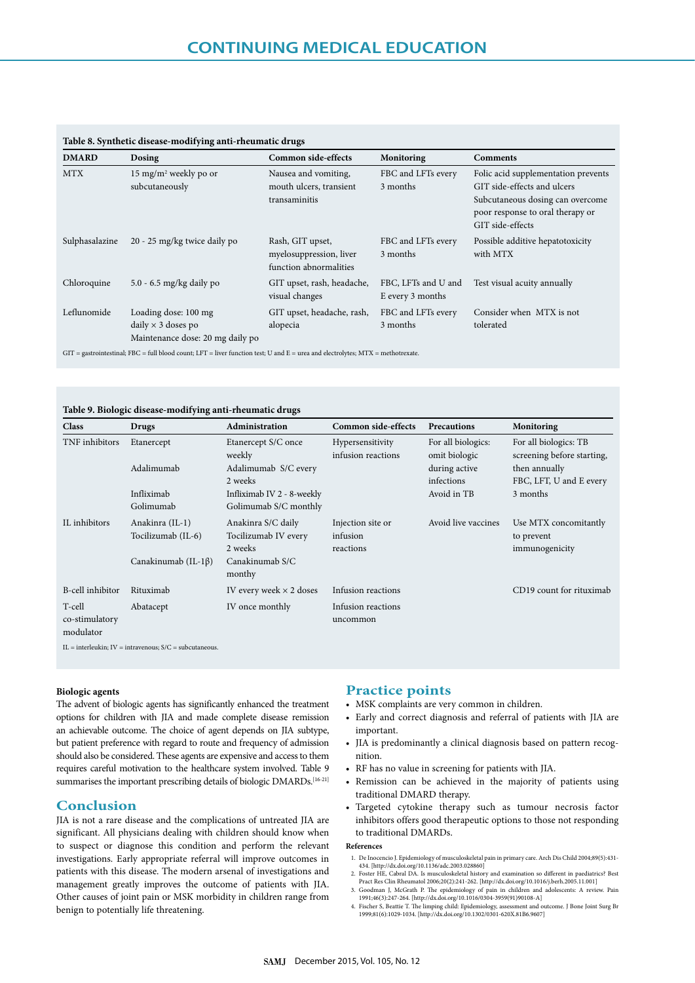| Table 8. Synthetic disease-modifying anti-rheumatic drugs |                                                                                       |                                                                       |                                         |                                                                                                                                                                |
|-----------------------------------------------------------|---------------------------------------------------------------------------------------|-----------------------------------------------------------------------|-----------------------------------------|----------------------------------------------------------------------------------------------------------------------------------------------------------------|
| <b>DMARD</b>                                              | Dosing                                                                                | <b>Common side-effects</b>                                            | Monitoring                              | <b>Comments</b>                                                                                                                                                |
| <b>MTX</b>                                                | 15 mg/m <sup>2</sup> weekly po or<br>subcutaneously                                   | Nausea and vomiting,<br>mouth ulcers, transient<br>transaminitis      | FBC and LFTs every<br>3 months          | Folic acid supplementation prevents<br>GIT side-effects and ulcers<br>Subcutaneous dosing can overcome<br>poor response to oral therapy or<br>GIT side-effects |
| Sulphasalazine                                            | 20 - 25 mg/kg twice daily po                                                          | Rash, GIT upset,<br>myelosuppression, liver<br>function abnormalities | FBC and LFTs every<br>3 months          | Possible additive hepatotoxicity<br>with MTX                                                                                                                   |
| Chloroquine                                               | $5.0 - 6.5$ mg/kg daily po                                                            | GIT upset, rash, headache,<br>visual changes                          | FBC, LFTs and U and<br>E every 3 months | Test visual acuity annually                                                                                                                                    |
| Leflunomide                                               | Loading dose: 100 mg<br>daily $\times$ 3 doses po<br>Maintenance dose: 20 mg daily po | GIT upset, headache, rash,<br>alopecia                                | FBC and LFTs every<br>3 months          | Consider when MTX is not<br>tolerated                                                                                                                          |

GIT = gastrointestinal; FBC = full blood count; LFT = liver function test; U and E = urea and electrolytes; MTX = methotrexate.

## **Table 9. Biologic disease-modifying anti-rheumatic drugs**

| <b>Class</b>                          | Drugs                                 | Administration                                        | <b>Common side-effects</b>                 | <b>Precautions</b>                  | Monitoring                                            |
|---------------------------------------|---------------------------------------|-------------------------------------------------------|--------------------------------------------|-------------------------------------|-------------------------------------------------------|
| TNF inhibitors                        | Etanercept                            | Etanercept S/C once<br>weekly                         | Hypersensitivity<br>infusion reactions     | For all biologics:<br>omit biologic | For all biologics: TB<br>screening before starting,   |
|                                       | Adalimumab                            | Adalimumab S/C every<br>2 weeks                       |                                            | during active<br>infections         | then annually<br>FBC, LFT, U and E every              |
|                                       | Infliximab<br>Golimumab               | Infliximab IV 2 - 8-weekly<br>Golimumab S/C monthly   |                                            | Avoid in TB                         | 3 months                                              |
| IL inhibitors                         | Anakinra (IL-1)<br>Tocilizumab (IL-6) | Anakinra S/C daily<br>Tocilizumab IV every<br>2 weeks | Injection site or<br>infusion<br>reactions | Avoid live vaccines                 | Use MTX concomitantly<br>to prevent<br>immunogenicity |
|                                       | Canakinumab $(IL-1\beta)$             | Canakinumab S/C<br>monthy                             |                                            |                                     |                                                       |
| B-cell inhibitor                      | Rituximab                             | IV every week $\times$ 2 doses                        | Infusion reactions                         |                                     | CD19 count for rituximab                              |
| T-cell<br>co-stimulatory<br>modulator | Abatacept                             | IV once monthly                                       | Infusion reactions<br>uncommon             |                                     |                                                       |

 $IL = interleukin$ :  $IV = intravenous$ :  $S/C = subcutaneous$ 

#### **Biologic agents**

The advent of biologic agents has significantly enhanced the treatment options for children with JIA and made complete disease remission an achievable outcome. The choice of agent depends on JIA subtype, but patient preference with regard to route and frequency of admission should also be considered. These agents are expensive and access to them requires careful motivation to the healthcare system involved. Table 9 summarises the important prescribing details of biologic DMARDs.<sup>[16-21]</sup>

## **Conclusion**

JIA is not a rare disease and the complications of untreated JIA are significant. All physicians dealing with children should know when to suspect or diagnose this condition and perform the relevant investigations. Early appropriate referral will improve outcomes in patients with this disease. The modern arsenal of investigations and management greatly improves the outcome of patients with JIA. Other causes of joint pain or MSK morbidity in children range from benign to potentially life threatening.

## **Practice points**

• MSK complaints are very common in children.

- Early and correct diagnosis and referral of patients with JIA are important.
- JIA is predominantly a clinical diagnosis based on pattern recognition.
- RF has no value in screening for patients with JIA.
- Remission can be achieved in the majority of patients using traditional DMARD therapy.
- Targeted cytokine therapy such as tumour necrosis factor inhibitors offers good therapeutic options to those not responding to traditional DMARDs.

#### **References**

- 1. De Inocencio J. Epidemiology of musculoskeletal pain in primary care. Arch Dis Child 2004;89(5):431- 434. [http://dx.doi.org/10.1136/adc.2003.028860]
- 2. Foster HE, Cabral DA. Is musculoskeletal history and examination so different in paediatrics? Best<br>Pract Res Clin Rheumatol 2006;20(2):241-262. [http://dx.doi.org/10.1016/j.benh.2005.11.001]<br>3. Goodman J, McGrath P. The
- 1991;46(3):247-264. [http://dx.doi.org/10.1016/0304-3959(91)90108-A]<br>
Fischer S, Beattie T. The limping child: Epidemiology, assessment and outcome. J Bone Joint Surg Br<br>
Fischer S, Beattie T. The limping child: Epidemiol
- 4. Fischer S, Beattie T. The limping child: Epidemiology, assessment and outcome. J Bone Joint Surg Br 1999;81(6):1029-1034. [http://dx.doi.org/10.1302/0301-620X.81B6.9607]